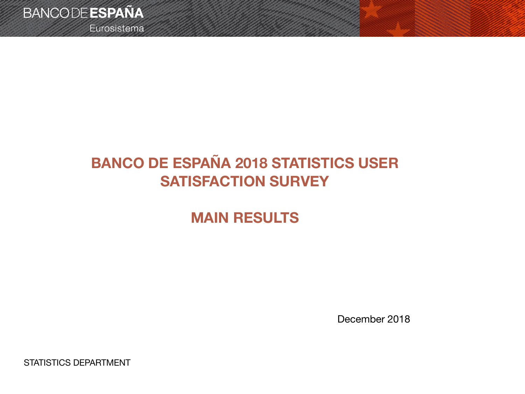

Eurosistema

## **BANCO DE ESPAÑA 2018 STATISTICS USER SATISFACTION SURVEY**

### **MAIN RESULTS**

December 2018

STATISTICS DEPARTMENT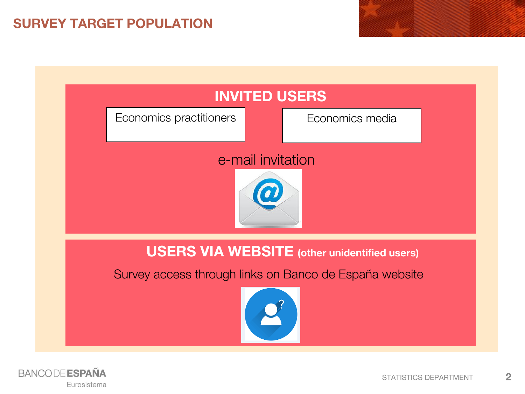### **SURVEY TARGET POPULATION**



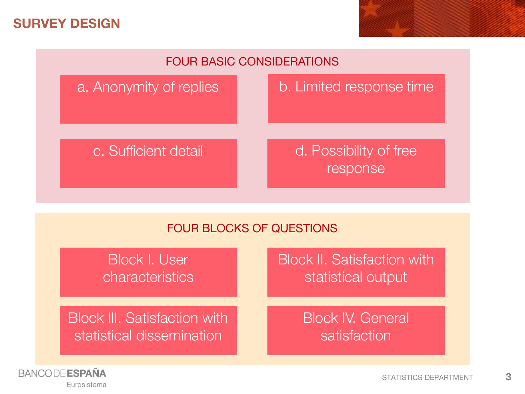#### **SURVEY DESIGN**



#### FOUR BLOCKS OF QUESTIONS

| Block I. User<br>characteristics                                  | <b>Block II. Satisfaction with</b><br>statistical output |
|-------------------------------------------------------------------|----------------------------------------------------------|
| <b>Block III. Satisfaction with.</b><br>statistical dissemination | <b>Block IV. General</b><br>satisfaction                 |



STATISTICS DEPARTMENT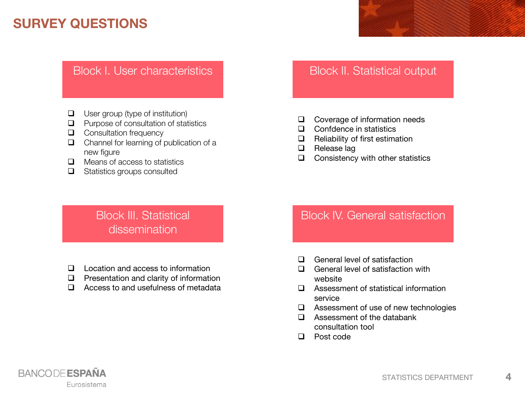#### **SURVEY QUESTIONS**

#### Block I. User characteristics **Block II.** Block II. Statistical output

- $\Box$  User group (type of institution)
- $\Box$  Purpose of consultation of statistics
- **Q** Consultation frequency
- Channel for learning of publication of a new figure
- $\Box$  Means of access to statistics
- $\Box$  Statistics groups consulted

- □ Coverage of information needs
- □ Confdence in statistics
- $\Box$  Reliability of first estimation
- $\Box$  Release lag
- $\Box$  Consistency with other statistics

#### Block III. Statistical dissemination

- □ Location and access to information
- $\Box$  Presentation and clarity of information
- $\Box$  Access to and usefulness of metadata

#### Block IV. General satisfaction

- **Q** General level of satisfaction
- $\Box$  General level of satisfaction with website
- Assessment of statistical information service
- □ Assessment of use of new technologies
- $\Box$  Assessment of the databank consultation tool
- □ Post code



**4**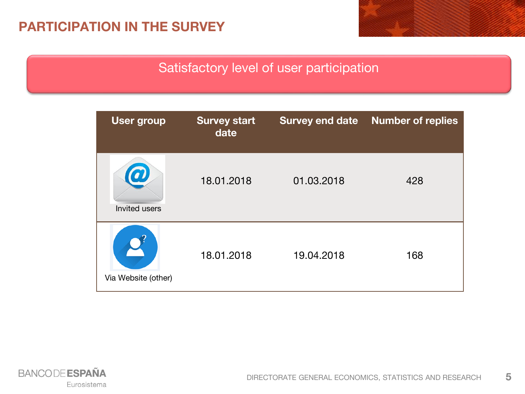#### **PARTICIPATION IN THE SURVEY**

#### Satisfactory level of user participation



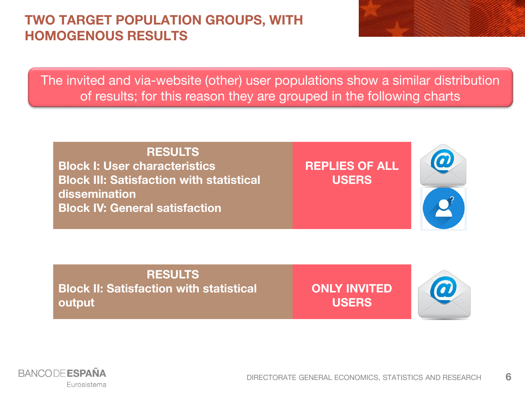#### **TWO TARGET POPULATION GROUPS, WITH HOMOGENOUS RESULTS**



The invited and via-website (other) user populations show a similar distribution of results; for this reason they are grouped in the following charts

#### **RESULTS Block I: User characteristics Block III: Satisfaction with statistical dissemination Block IV: General satisfaction REPLIES OF ALL USERS**

#### **RESULTS Block II: Satisfaction with statistical output**

**ONLY INVITED USERS**



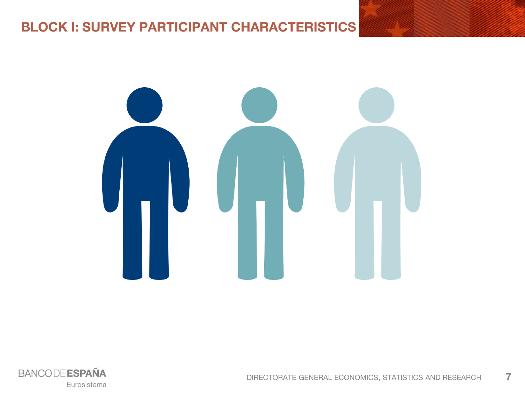#### **BLOCK I: SURVEY PARTICIPANT CHARACTERISTICS**



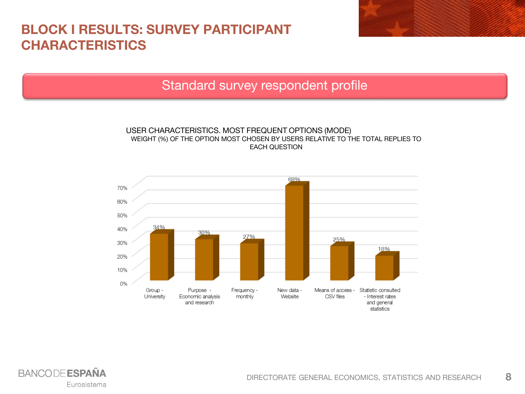#### **BLOCK I RESULTS: SURVEY PARTICIPANT CHARACTERISTICS**



#### Standard survey respondent profile

#### USER CHARACTERISTICS. MOST FREQUENT OPTIONS (MODE) WEIGHT (%) OF THE OPTION MOST CHOSEN BY USERS RELATIVE TO THE TOTAL REPLIES TO EACH QUESTION



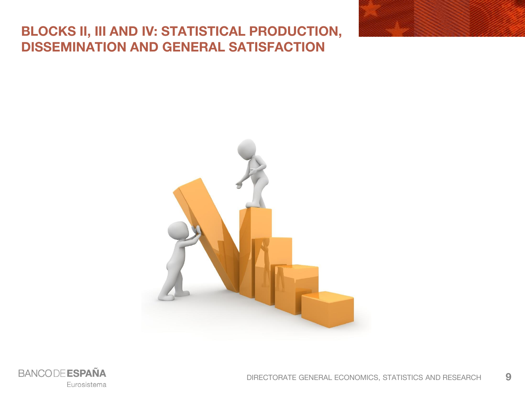#### **BLOCKS II, III AND IV: STATISTICAL PRODUCTION, DISSEMINATION AND GENERAL SATISFACTION**





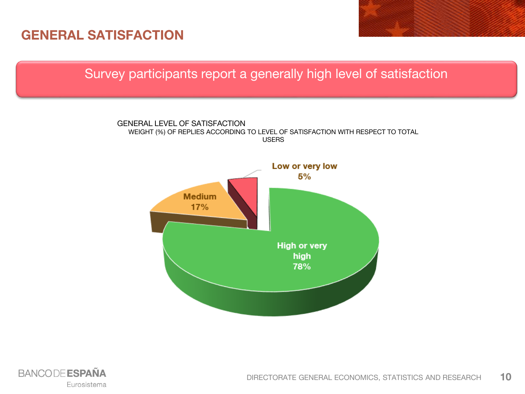#### **GENERAL SATISFACTION**

Survey participants report a generally high level of satisfaction



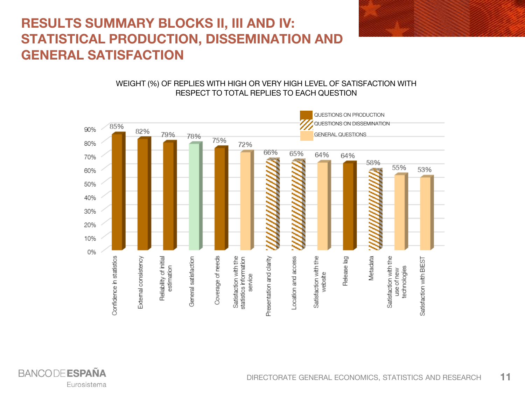### **RESULTS SUMMARY BLOCKS II, III AND IV: STATISTICAL PRODUCTION, DISSEMINATION AND GENERAL SATISFACTION**

#### WEIGHT (%) OF REPLIES WITH HIGH OR VERY HIGH LEVEL OF SATISFACTION WITH RESPECT TO TOTAL REPLIES TO EACH QUESTION

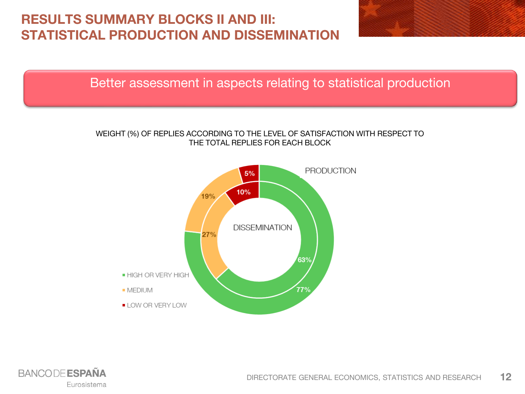### **RESULTS SUMMARY BLOCKS II AND III: STATISTICAL PRODUCTION AND DISSEMINATION**



Better assessment in aspects relating to statistical production

#### WEIGHT (%) OF REPLIES ACCORDING TO THE LEVEL OF SATISFACTION WITH RESPECT TO THE TOTAL REPLIES FOR EACH BLOCK



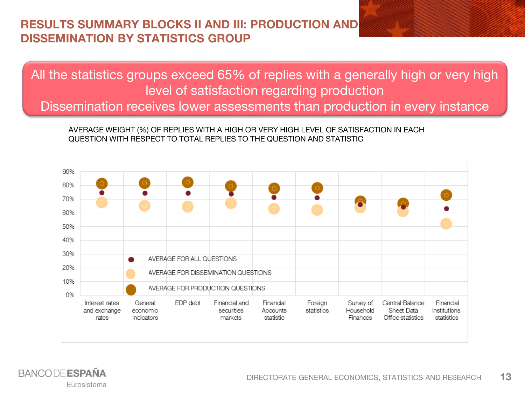#### **RESULTS SUMMARY BLOCKS II AND III: PRODUCTION AND DISSEMINATION BY STATISTICS GROUP**

All the statistics groups exceed 65% of replies with a generally high or very high level of satisfaction regarding production Dissemination receives lower assessments than production in every instance

AVERAGE WEIGHT (%) OF REPLIES WITH A HIGH OR VERY HIGH LEVEL OF SATISFACTION IN EACH QUESTION WITH RESPECT TO TOTAL REPLIES TO THE QUESTION AND STATISTIC



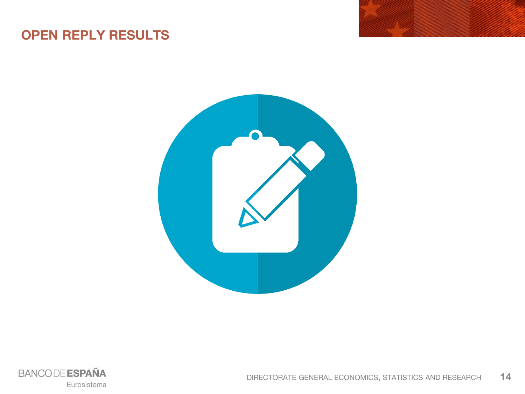### **OPEN REPLY RESULTS**



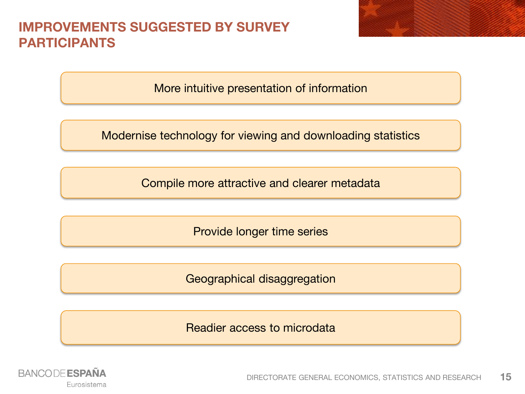#### **IMPROVEMENTS SUGGESTED BY SURVEY PARTICIPANTS**

More intuitive presentation of information

Modernise technology for viewing and downloading statistics

Compile more attractive and clearer metadata

Provide longer time series

Geographical disaggregation

Readier access to microdata

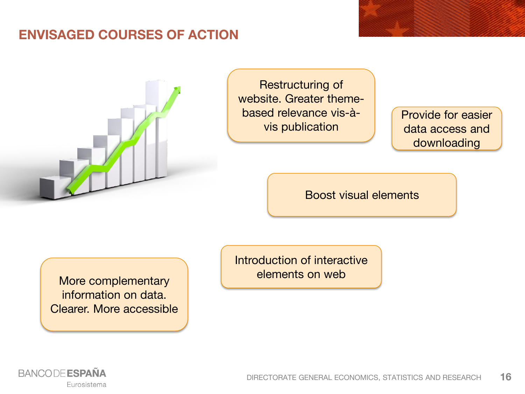#### **ENVISAGED COURSES OF ACTION**



Restructuring of website. Greater themebased relevance vis-àvis publication

Provide for easier data access and downloading

Boost visual elements

More complementary **Nore** elements on web information on data. Clearer. More accessible

Introduction of interactive